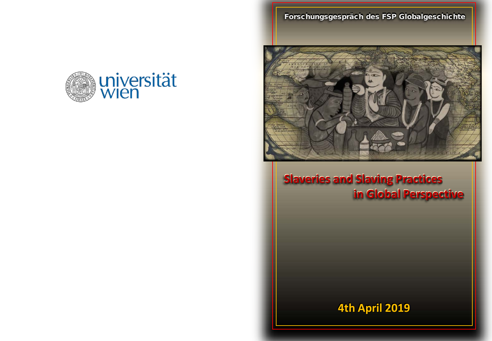universität 胤

Forschungsgespräch des FSP Globalgeschichte



**Slaveries and Slaving Practices Slaveries and Slaving Practices in Global Perspective in Global Perspective**

**4th April 2019 4th April 2019**